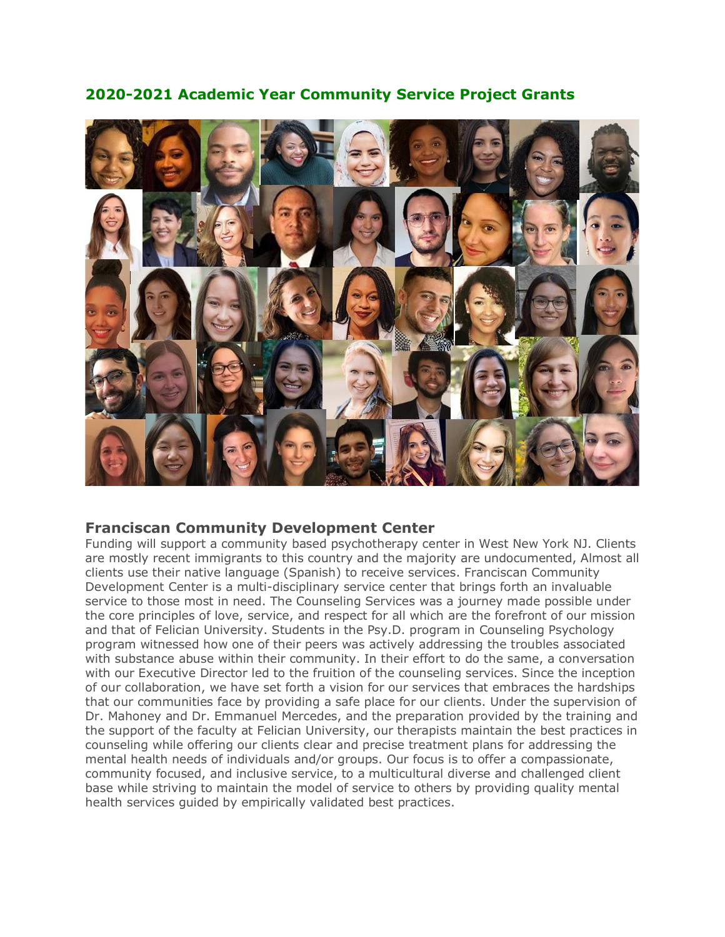

# **2020-2021 Academic Year Community Service Project Grants**

# **Franciscan Community Development Center**

Funding will support a community based psychotherapy center in West New York NJ. Clients are mostly recent immigrants to this country and the majority are undocumented, Almost all clients use their native language (Spanish) to receive services. Franciscan Community Development Center is a multi-disciplinary service center that brings forth an invaluable service to those most in need. The Counseling Services was a journey made possible under the core principles of love, service, and respect for all which are the forefront of our mission and that of Felician University. Students in the Psy.D. program in Counseling Psychology program witnessed how one of their peers was actively addressing the troubles associated with substance abuse within their community. In their effort to do the same, a conversation with our Executive Director led to the fruition of the counseling services. Since the inception of our collaboration, we have set forth a vision for our services that embraces the hardships that our communities face by providing a safe place for our clients. Under the supervision of Dr. Mahoney and Dr. Emmanuel Mercedes, and the preparation provided by the training and the support of the faculty at Felician University, our therapists maintain the best practices in counseling while offering our clients clear and precise treatment plans for addressing the mental health needs of individuals and/or groups. Our focus is to offer a compassionate, community focused, and inclusive service, to a multicultural diverse and challenged client base while striving to maintain the model of service to others by providing quality mental health services guided by empirically validated best practices.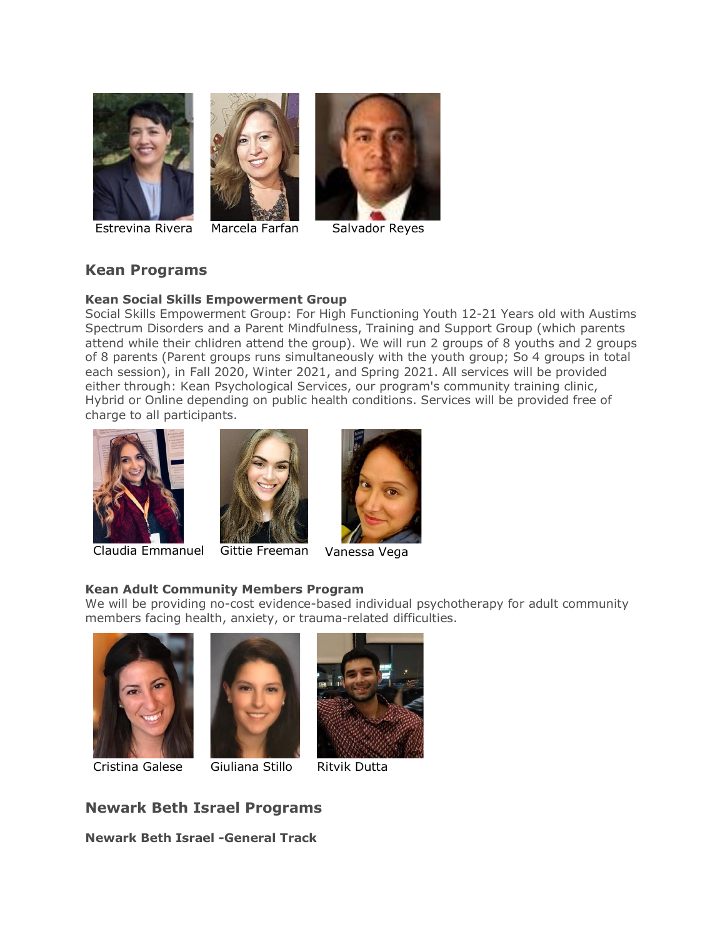





Estrevina Rivera Marcela Farfan Salvador Reyes

# **Kean Programs**

### **Kean Social Skills Empowerment Group**

Social Skills Empowerment Group: For High Functioning Youth 12-21 Years old with Austims Spectrum Disorders and a Parent Mindfulness, Training and Support Group (which parents attend while their chlidren attend the group). We will run 2 groups of 8 youths and 2 groups of 8 parents (Parent groups runs simultaneously with the youth group; So 4 groups in total each session), in Fall 2020, Winter 2021, and Spring 2021. All services will be provided either through: Kean Psychological Services, our program's community training clinic, Hybrid or Online depending on public health conditions. Services will be provided free of charge to all participants.



Claudia Emmanuel Gittie Freeman



### **Kean Adult Community Members Program**

We will be providing no-cost evidence-based individual psychotherapy for adult community members facing health, anxiety, or trauma-related difficulties.







**Newark Beth Israel Programs**

**Newark Beth Israel -General Track**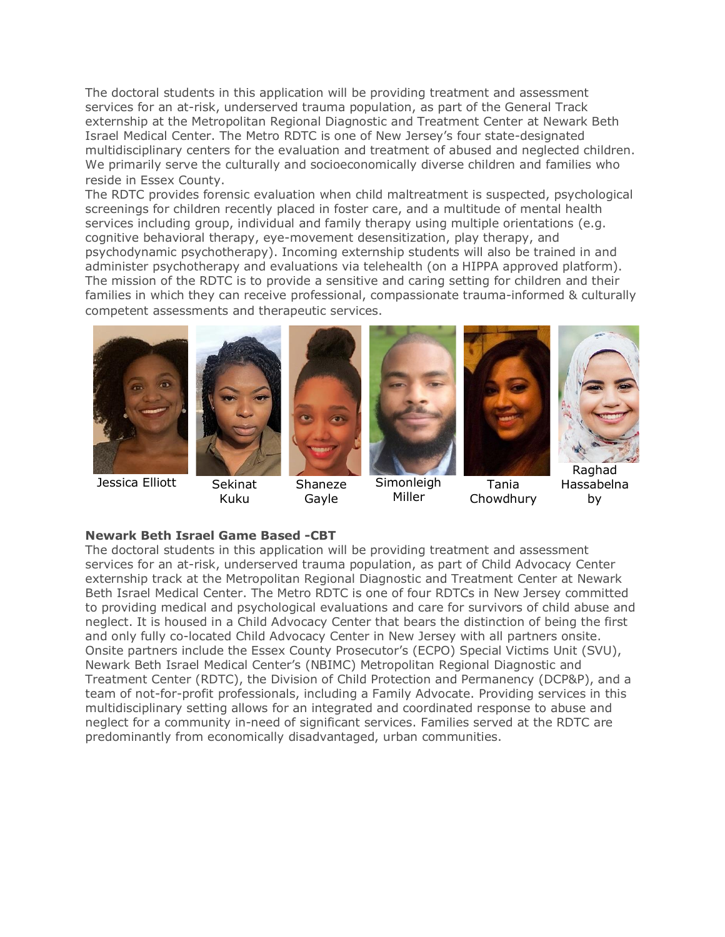The doctoral students in this application will be providing treatment and assessment services for an at-risk, underserved trauma population, as part of the General Track externship at the Metropolitan Regional Diagnostic and Treatment Center at Newark Beth Israel Medical Center. The Metro RDTC is one of New Jersey's four state-designated multidisciplinary centers for the evaluation and treatment of abused and neglected children. We primarily serve the culturally and socioeconomically diverse children and families who reside in Essex County.

The RDTC provides forensic evaluation when child maltreatment is suspected, psychological screenings for children recently placed in foster care, and a multitude of mental health services including group, individual and family therapy using multiple orientations (e.g. cognitive behavioral therapy, eye-movement desensitization, play therapy, and psychodynamic psychotherapy). Incoming externship students will also be trained in and administer psychotherapy and evaluations via telehealth (on a HIPPA approved platform). The mission of the RDTC is to provide a sensitive and caring setting for children and their families in which they can receive professional, compassionate trauma-informed & culturally competent assessments and therapeutic services.



Jessica Elliott Sekinat



Kuku



Shaneze Gayle



Simonleigh Miller



Tania Chowdhury



Raghad Hassabelna by

### **Newark Beth Israel Game Based -CBT**

The doctoral students in this application will be providing treatment and assessment services for an at-risk, underserved trauma population, as part of Child Advocacy Center externship track at the Metropolitan Regional Diagnostic and Treatment Center at Newark Beth Israel Medical Center. The Metro RDTC is one of four RDTCs in New Jersey committed to providing medical and psychological evaluations and care for survivors of child abuse and neglect. It is housed in a Child Advocacy Center that bears the distinction of being the first and only fully co-located Child Advocacy Center in New Jersey with all partners onsite. Onsite partners include the Essex County Prosecutor's (ECPO) Special Victims Unit (SVU), Newark Beth Israel Medical Center's (NBIMC) Metropolitan Regional Diagnostic and Treatment Center (RDTC), the Division of Child Protection and Permanency (DCP&P), and a team of not-for-profit professionals, including a Family Advocate. Providing services in this multidisciplinary setting allows for an integrated and coordinated response to abuse and neglect for a community in-need of significant services. Families served at the RDTC are predominantly from economically disadvantaged, urban communities.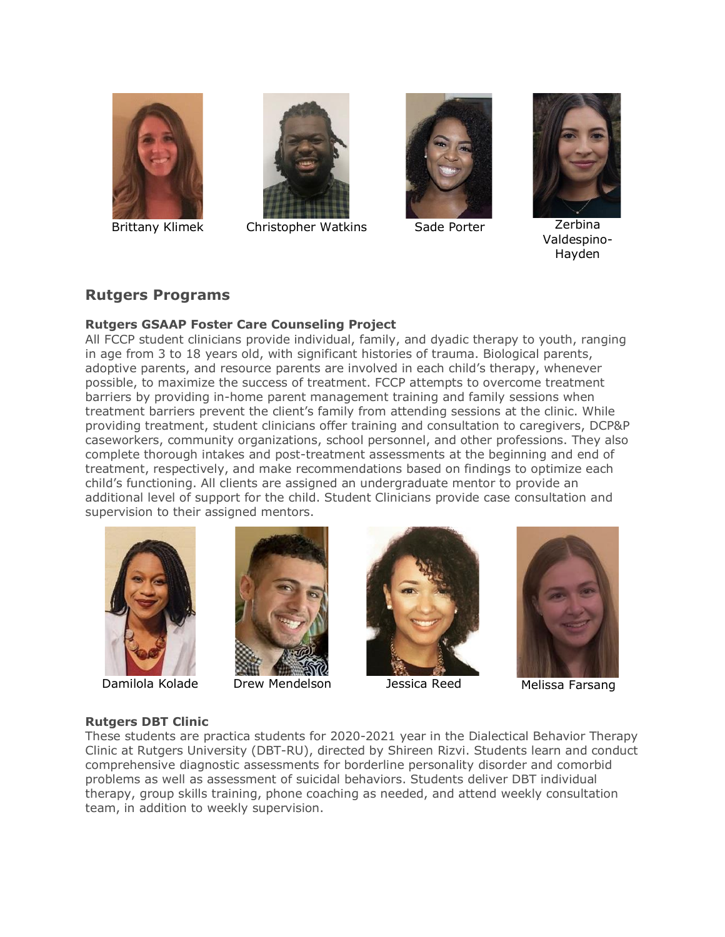



Brittany Klimek Christopher Watkins Sade Porter Zerbina





Valdespino-Hayden

# **Rutgers Programs**

## **Rutgers GSAAP Foster Care Counseling Project**

All FCCP student clinicians provide individual, family, and dyadic therapy to youth, ranging in age from 3 to 18 years old, with significant histories of trauma. Biological parents, adoptive parents, and resource parents are involved in each child's therapy, whenever possible, to maximize the success of treatment. FCCP attempts to overcome treatment barriers by providing in-home parent management training and family sessions when treatment barriers prevent the client's family from attending sessions at the clinic. While providing treatment, student clinicians offer training and consultation to caregivers, DCP&P caseworkers, community organizations, school personnel, and other professions. They also complete thorough intakes and post-treatment assessments at the beginning and end of treatment, respectively, and make recommendations based on findings to optimize each child's functioning. All clients are assigned an undergraduate mentor to provide an additional level of support for the child. Student Clinicians provide case consultation and supervision to their assigned mentors.





Damilola Kolade Drew Mendelson Jessica Reed Melissa Farsang





## **Rutgers DBT Clinic**

These students are practica students for 2020-2021 year in the Dialectical Behavior Therapy Clinic at Rutgers University (DBT-RU), directed by Shireen Rizvi. Students learn and conduct comprehensive diagnostic assessments for borderline personality disorder and comorbid problems as well as assessment of suicidal behaviors. Students deliver DBT individual therapy, group skills training, phone coaching as needed, and attend weekly consultation team, in addition to weekly supervision.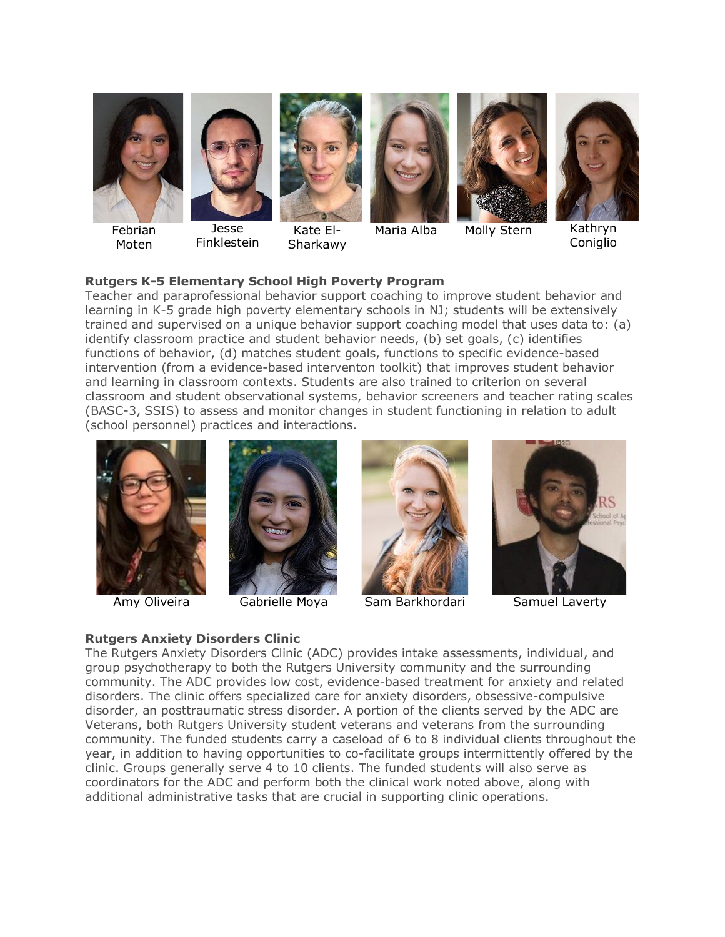





Jesse Finklestein



Kate El-Sharkawy





Maria Alba Molly Stern Kathryn



**Coniglio** 

## **Rutgers K-5 Elementary School High Poverty Program**

Teacher and paraprofessional behavior support coaching to improve student behavior and learning in K-5 grade high poverty elementary schools in NJ; students will be extensively trained and supervised on a unique behavior support coaching model that uses data to: (a) identify classroom practice and student behavior needs, (b) set goals, (c) identifies functions of behavior, (d) matches student goals, functions to specific evidence-based intervention (from a evidence-based interventon toolkit) that improves student behavior and learning in classroom contexts. Students are also trained to criterion on several classroom and student observational systems, behavior screeners and teacher rating scales (BASC-3, SSIS) to assess and monitor changes in student functioning in relation to adult (school personnel) practices and interactions.









Amy Oliveira Gabrielle Moya Sam Barkhordari Samuel Laverty

### **Rutgers Anxiety Disorders Clinic** The Rutgers Anxiety Disorders Clinic (ADC) provides intake assessments, individual, and group psychotherapy to both the Rutgers University community and the surrounding community. The ADC provides low cost, evidence-based treatment for anxiety and related disorders. The clinic offers specialized care for anxiety disorders, obsessive-compulsive disorder, an posttraumatic stress disorder. A portion of the clients served by the ADC are Veterans, both Rutgers University student veterans and veterans from the surrounding community. The funded students carry a caseload of 6 to 8 individual clients throughout the year, in addition to having opportunities to co-facilitate groups intermittently offered by the clinic. Groups generally serve 4 to 10 clients. The funded students will also serve as coordinators for the ADC and perform both the clinical work noted above, along with additional administrative tasks that are crucial in supporting clinic operations.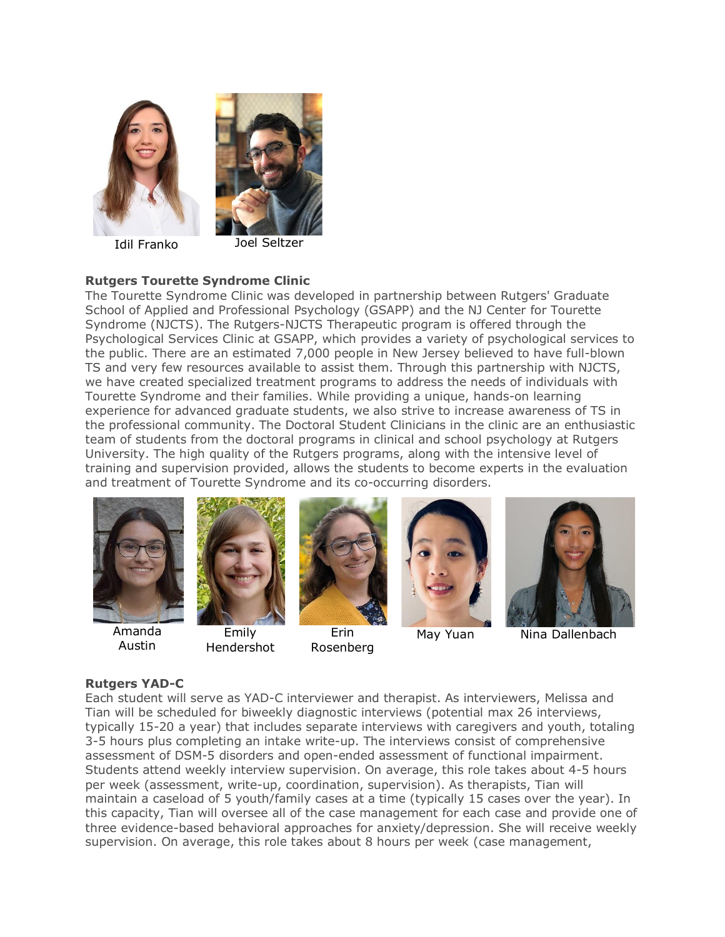

Idil Franko Joel Seltzer

## **Rutgers Tourette Syndrome Clinic**

The Tourette Syndrome Clinic was developed in partnership between Rutgers' Graduate School of Applied and Professional Psychology (GSAPP) and the NJ Center for Tourette Syndrome (NJCTS). The Rutgers-NJCTS Therapeutic program is offered through the Psychological Services Clinic at GSAPP, which provides a variety of psychological services to the public. There are an estimated 7,000 people in New Jersey believed to have full-blown TS and very few resources available to assist them. Through this partnership with NJCTS, we have created specialized treatment programs to address the needs of individuals with Tourette Syndrome and their families. While providing a unique, hands-on learning experience for advanced graduate students, we also strive to increase awareness of TS in the professional community. The Doctoral Student Clinicians in the clinic are an enthusiastic team of students from the doctoral programs in clinical and school psychology at Rutgers University. The high quality of the Rutgers programs, along with the intensive level of training and supervision provided, allows the students to become experts in the evaluation and treatment of Tourette Syndrome and its co-occurring disorders.



Amanda Austin





Erin Rosenberg



May Yuan Nina Dallenbach

## **Rutgers YAD-C**

Each student will serve as YAD-C interviewer and therapist. As interviewers, Melissa and Tian will be scheduled for biweekly diagnostic interviews (potential max 26 interviews, typically 15-20 a year) that includes separate interviews with caregivers and youth, totaling 3-5 hours plus completing an intake write-up. The interviews consist of comprehensive assessment of DSM-5 disorders and open-ended assessment of functional impairment. Students attend weekly interview supervision. On average, this role takes about 4-5 hours per week (assessment, write-up, coordination, supervision). As therapists, Tian will maintain a caseload of 5 youth/family cases at a time (typically 15 cases over the year). In this capacity, Tian will oversee all of the case management for each case and provide one of three evidence-based behavioral approaches for anxiety/depression. She will receive weekly supervision. On average, this role takes about 8 hours per week (case management,